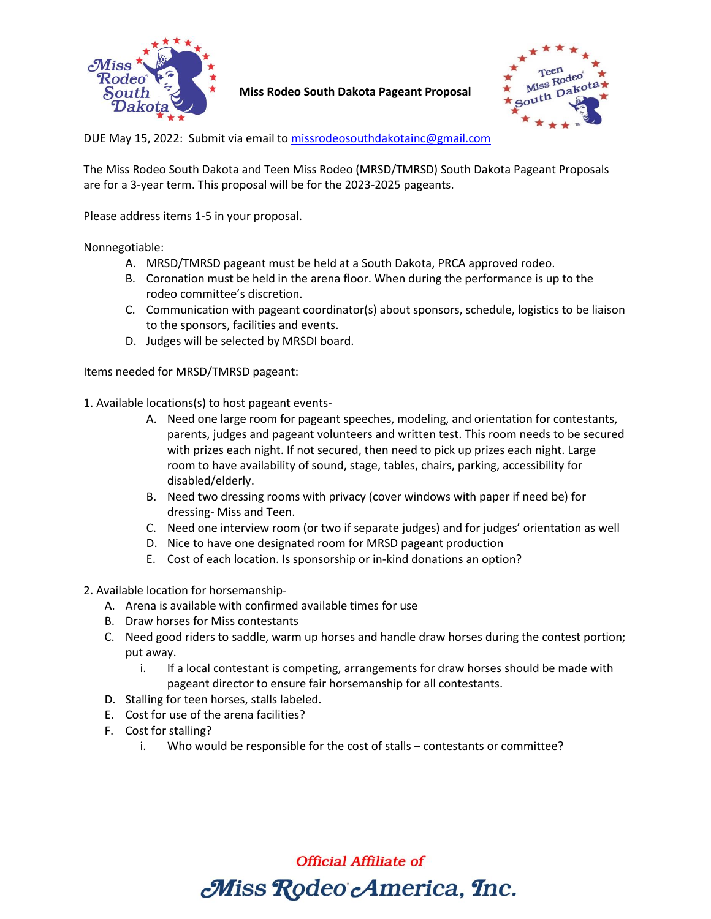

|  |  |  |  |  | Miss Rodeo South Dakota Pageant Proposal |
|--|--|--|--|--|------------------------------------------|
|--|--|--|--|--|------------------------------------------|



DUE May 15, 2022: Submit via email to [missrodeosouthdakotainc@gmail.com](mailto:missrodeosouthdakotainc@gmail.com)

The Miss Rodeo South Dakota and Teen Miss Rodeo (MRSD/TMRSD) South Dakota Pageant Proposals are for a 3-year term. This proposal will be for the 2023-2025 pageants.

Please address items 1-5 in your proposal.

Nonnegotiable:

- A. MRSD/TMRSD pageant must be held at a South Dakota, PRCA approved rodeo.
- B. Coronation must be held in the arena floor. When during the performance is up to the rodeo committee's discretion.
- C. Communication with pageant coordinator(s) about sponsors, schedule, logistics to be liaison to the sponsors, facilities and events.
- D. Judges will be selected by MRSDI board.

Items needed for MRSD/TMRSD pageant:

1. Available locations(s) to host pageant events-

- A. Need one large room for pageant speeches, modeling, and orientation for contestants, parents, judges and pageant volunteers and written test. This room needs to be secured with prizes each night. If not secured, then need to pick up prizes each night. Large room to have availability of sound, stage, tables, chairs, parking, accessibility for disabled/elderly.
- B. Need two dressing rooms with privacy (cover windows with paper if need be) for dressing- Miss and Teen.
- C. Need one interview room (or two if separate judges) and for judges' orientation as well
- D. Nice to have one designated room for MRSD pageant production
- E. Cost of each location. Is sponsorship or in-kind donations an option?
- 2. Available location for horsemanship-
	- A. Arena is available with confirmed available times for use
	- B. Draw horses for Miss contestants
	- C. Need good riders to saddle, warm up horses and handle draw horses during the contest portion; put away.
		- i. If a local contestant is competing, arrangements for draw horses should be made with pageant director to ensure fair horsemanship for all contestants.
	- D. Stalling for teen horses, stalls labeled.
	- E. Cost for use of the arena facilities?
	- F. Cost for stalling?
		- i. Who would be responsible for the cost of stalls contestants or committee?

**Official Affiliate of** 

Miss Rodeo America, Inc.